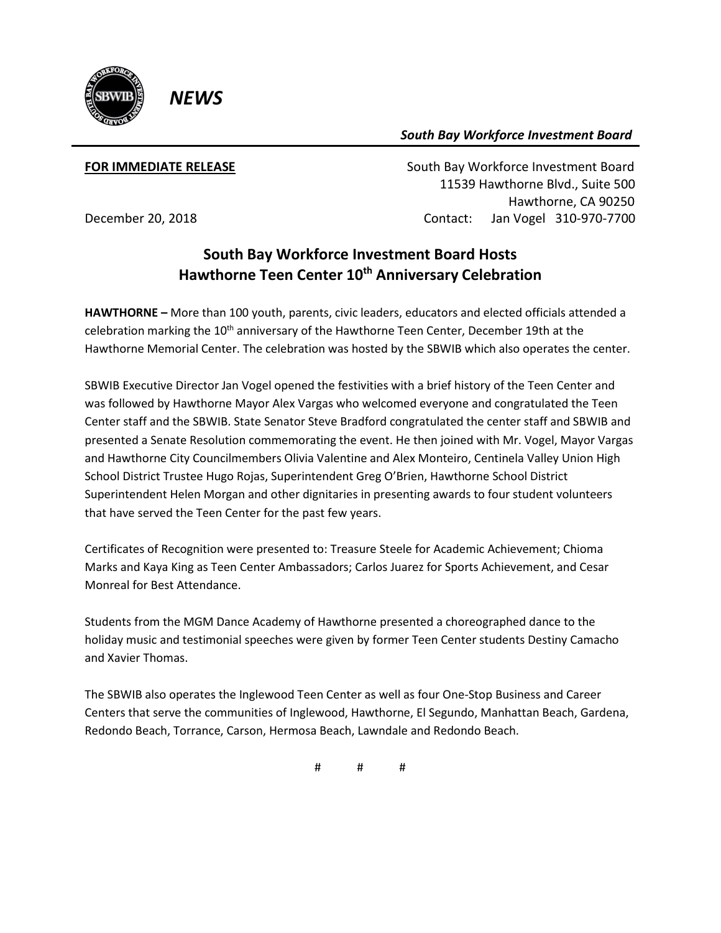

*South Bay Workforce Investment Board*

*NEWS*

**FOR IMMEDIATE RELEASE South Bay Workforce Investment Board**  11539 Hawthorne Blvd., Suite 500 Hawthorne, CA 90250 December 20, 2018 Contact: Jan Vogel 310-970-7700

## **South Bay Workforce Investment Board Hosts Hawthorne Teen Center 10<sup>th</sup> Anniversary Celebration**

**HAWTHORNE –** More than 100 youth, parents, civic leaders, educators and elected officials attended a celebration marking the 10<sup>th</sup> anniversary of the Hawthorne Teen Center, December 19th at the Hawthorne Memorial Center. The celebration was hosted by the SBWIB which also operates the center.

SBWIB Executive Director Jan Vogel opened the festivities with a brief history of the Teen Center and was followed by Hawthorne Mayor Alex Vargas who welcomed everyone and congratulated the Teen Center staff and the SBWIB. State Senator Steve Bradford congratulated the center staff and SBWIB and presented a Senate Resolution commemorating the event. He then joined with Mr. Vogel, Mayor Vargas and Hawthorne City Councilmembers Olivia Valentine and Alex Monteiro, Centinela Valley Union High School District Trustee Hugo Rojas, Superintendent Greg O'Brien, Hawthorne School District Superintendent Helen Morgan and other dignitaries in presenting awards to four student volunteers that have served the Teen Center for the past few years.

Certificates of Recognition were presented to: Treasure Steele for Academic Achievement; Chioma Marks and Kaya King as Teen Center Ambassadors; Carlos Juarez for Sports Achievement, and Cesar Monreal for Best Attendance.

Students from the MGM Dance Academy of Hawthorne presented a choreographed dance to the holiday music and testimonial speeches were given by former Teen Center students Destiny Camacho and Xavier Thomas.

The SBWIB also operates the Inglewood Teen Center as well as four One-Stop Business and Career Centers that serve the communities of Inglewood, Hawthorne, El Segundo, Manhattan Beach, Gardena, Redondo Beach, Torrance, Carson, Hermosa Beach, Lawndale and Redondo Beach.

# # #